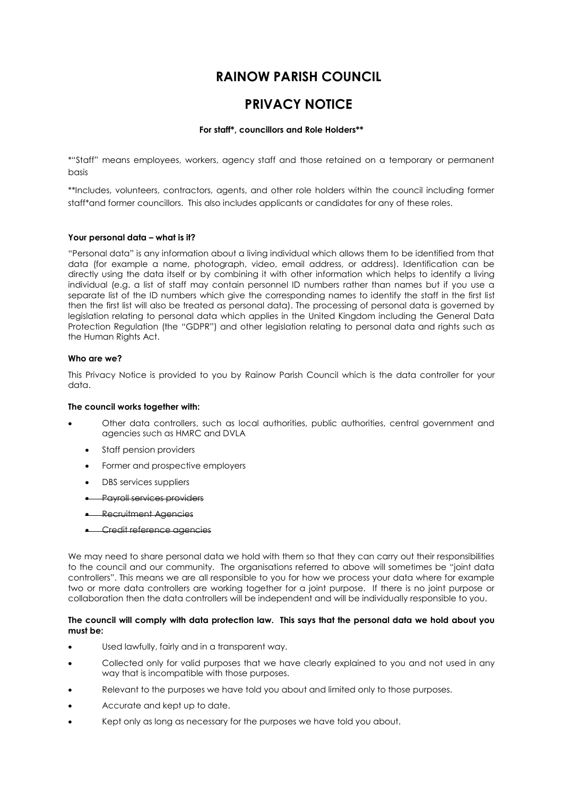# **RAINOW PARISH COUNCIL**

# **PRIVACY NOTICE**

# **For staff\*, councillors and Role Holders\*\***

\*"Staff" means employees, workers, agency staff and those retained on a temporary or permanent basis

\*\*Includes, volunteers, contractors, agents, and other role holders within the council including former staff\*and former councillors. This also includes applicants or candidates for any of these roles.

## **Your personal data – what is it?**

"Personal data" is any information about a living individual which allows them to be identified from that data (for example a name, photograph, video, email address, or address). Identification can be directly using the data itself or by combining it with other information which helps to identify a living individual (e.g. a list of staff may contain personnel ID numbers rather than names but if you use a separate list of the ID numbers which give the corresponding names to identify the staff in the first list then the first list will also be treated as personal data). The processing of personal data is governed by legislation relating to personal data which applies in the United Kingdom including the General Data Protection Regulation (the "GDPR") and other legislation relating to personal data and rights such as the Human Rights Act.

## **Who are we?**

This Privacy Notice is provided to you by Rainow Parish Council which is the data controller for your data.

## **The council works together with:**

- Other data controllers, such as local authorities, public authorities, central government and agencies such as HMRC and DVLA
	- Staff pension providers
	- Former and prospective employers
	- DBS services suppliers
	- Payroll services providers
	- Recruitment Agencies
	- Credit reference agencies

We may need to share personal data we hold with them so that they can carry out their responsibilities to the council and our community. The organisations referred to above will sometimes be "joint data controllers". This means we are all responsible to you for how we process your data where for example two or more data controllers are working together for a joint purpose. If there is no joint purpose or collaboration then the data controllers will be independent and will be individually responsible to you.

#### **The council will comply with data protection law. This says that the personal data we hold about you must be:**

- Used lawfully, fairly and in a transparent way.
- Collected only for valid purposes that we have clearly explained to you and not used in any way that is incompatible with those purposes.
- Relevant to the purposes we have told you about and limited only to those purposes.
- Accurate and kept up to date.
- Kept only as long as necessary for the purposes we have told you about.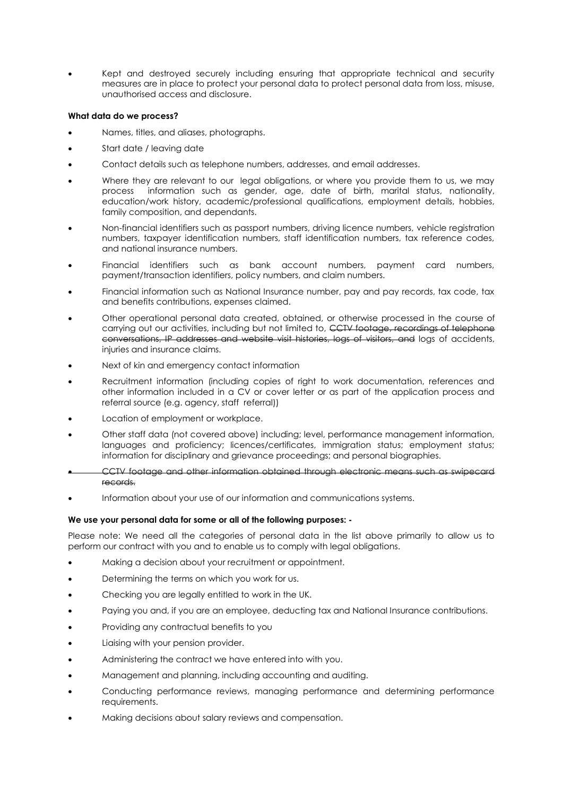• Kept and destroyed securely including ensuring that appropriate technical and security measures are in place to protect your personal data to protect personal data from loss, misuse, unauthorised access and disclosure.

## **What data do we process?**

- Names, titles, and aliases, photographs.
- Start date / leaving date
- Contact details such as telephone numbers, addresses, and email addresses.
- Where they are relevant to our legal obligations, or where you provide them to us, we may process information such as gender, age, date of birth, marital status, nationality, education/work history, academic/professional qualifications, employment details, hobbies, family composition, and dependants.
- Non-financial identifiers such as passport numbers, driving licence numbers, vehicle registration numbers, taxpayer identification numbers, staff identification numbers, tax reference codes, and national insurance numbers.
- Financial identifiers such as bank account numbers, payment card numbers, payment/transaction identifiers, policy numbers, and claim numbers.
- Financial information such as National Insurance number, pay and pay records, tax code, tax and benefits contributions, expenses claimed.
- Other operational personal data created, obtained, or otherwise processed in the course of carrying out our activities, including but not limited to, CCTV footage, recordings of telephone conversations, IP addresses and website visit histories, logs of visitors, and logs of accidents, injuries and insurance claims.
- Next of kin and emergency contact information
- Recruitment information (including copies of right to work documentation, references and other information included in a CV or cover letter or as part of the application process and referral source (e.g. agency, staff referral))
- Location of employment or workplace.
- Other staff data (not covered above) including; level, performance management information, languages and proficiency; licences/certificates, immigration status; employment status; information for disciplinary and grievance proceedings; and personal biographies.
- CCTV footage and other information obtained through electronic means such as swipecard records.
- Information about your use of our information and communications systems.

## **We use your personal data for some or all of the following purposes: -**

Please note: We need all the categories of personal data in the list above primarily to allow us to perform our contract with you and to enable us to comply with legal obligations.

- Making a decision about your recruitment or appointment.
- Determining the terms on which you work for us.
- Checking you are legally entitled to work in the UK.
- Paying you and, if you are an employee, deducting tax and National Insurance contributions.
- Providing any contractual benefits to you
- Liaising with your pension provider.
- Administering the contract we have entered into with you.
- Management and planning, including accounting and auditing.
- Conducting performance reviews, managing performance and determining performance requirements.
- Making decisions about salary reviews and compensation.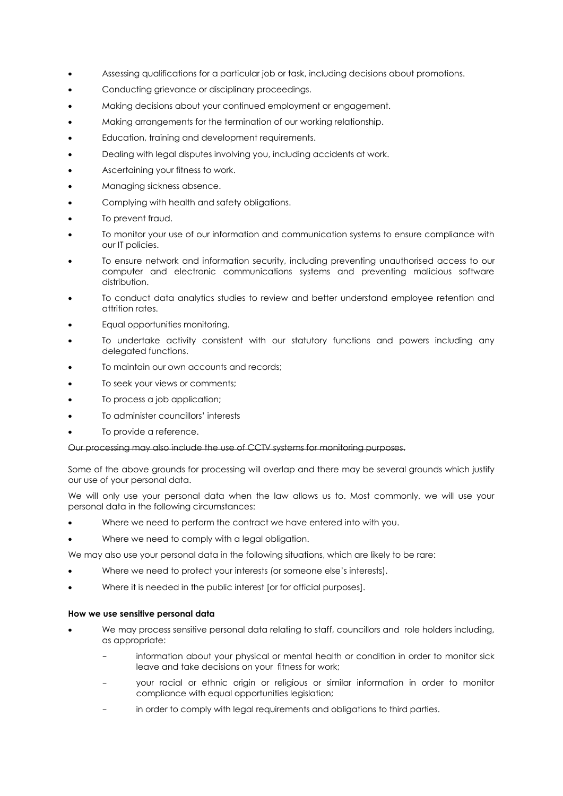- Assessing qualifications for a particular job or task, including decisions about promotions.
- Conducting grievance or disciplinary proceedings.
- Making decisions about your continued employment or engagement.
- Making arrangements for the termination of our working relationship.
- Education, training and development requirements.
- Dealing with legal disputes involving you, including accidents at work.
- Ascertaining your fitness to work.
- Managing sickness absence.
- Complying with health and safety obligations.
- To prevent fraud.
- To monitor your use of our information and communication systems to ensure compliance with our IT policies.
- To ensure network and information security, including preventing unauthorised access to our computer and electronic communications systems and preventing malicious software distribution.
- To conduct data analytics studies to review and better understand employee retention and attrition rates.
- Equal opportunities monitoring.
- To undertake activity consistent with our statutory functions and powers including any delegated functions.
- To maintain our own accounts and records;
- To seek your views or comments;
- To process a job application;
- To administer councillors' interests
- To provide a reference.

## Our processing may also include the use of CCTV systems for monitoring purposes.

Some of the above grounds for processing will overlap and there may be several grounds which justify our use of your personal data.

We will only use your personal data when the law allows us to. Most commonly, we will use your personal data in the following circumstances:

- Where we need to perform the contract we have entered into with you.
- Where we need to comply with a legal obligation.

We may also use your personal data in the following situations, which are likely to be rare:

- Where we need to protect your interests (or someone else's interests).
- Where it is needed in the public interest [or for official purposes].

#### **How we use sensitive personal data**

- We may process sensitive personal data relating to staff, councillors and role holders including, as appropriate:
	- information about your physical or mental health or condition in order to monitor sick leave and take decisions on your fitness for work;
	- your racial or ethnic origin or religious or similar information in order to monitor compliance with equal opportunities legislation;
	- in order to comply with legal requirements and obligations to third parties.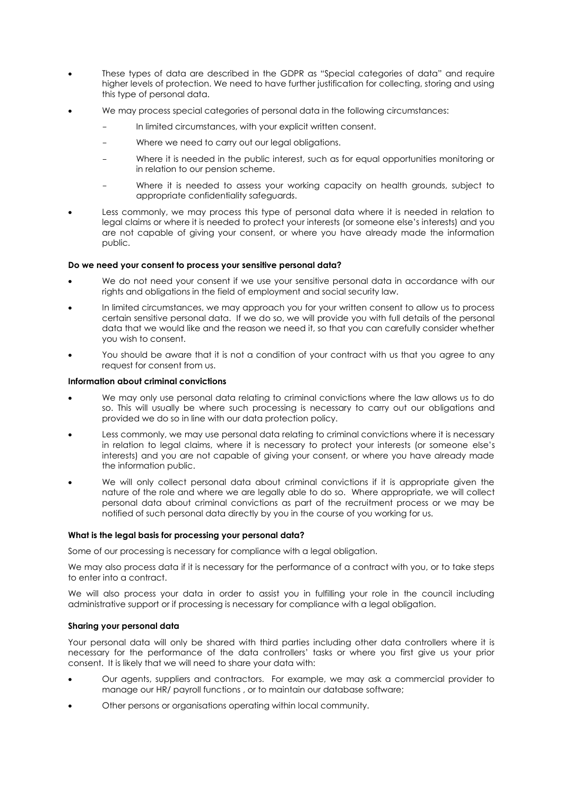- These types of data are described in the GDPR as "Special categories of data" and require higher levels of protection. We need to have further justification for collecting, storing and using this type of personal data.
- We may process special categories of personal data in the following circumstances:
	- In limited circumstances, with your explicit written consent.
	- Where we need to carry out our legal obligations.
	- Where it is needed in the public interest, such as for equal opportunities monitoring or in relation to our pension scheme.
	- Where it is needed to assess your working capacity on health grounds, subject to appropriate confidentiality safeguards.
- Less commonly, we may process this type of personal data where it is needed in relation to legal claims or where it is needed to protect your interests (or someone else's interests) and you are not capable of giving your consent, or where you have already made the information public.

## **Do we need your consent to process your sensitive personal data?**

- We do not need your consent if we use your sensitive personal data in accordance with our rights and obligations in the field of employment and social security law.
- In limited circumstances, we may approach you for your written consent to allow us to process certain sensitive personal data. If we do so, we will provide you with full details of the personal data that we would like and the reason we need it, so that you can carefully consider whether you wish to consent.
- You should be aware that it is not a condition of your contract with us that you agree to any request for consent from us.

## **Information about criminal convictions**

- We may only use personal data relating to criminal convictions where the law allows us to do so. This will usually be where such processing is necessary to carry out our obligations and provided we do so in line with our data protection policy.
- Less commonly, we may use personal data relating to criminal convictions where it is necessary in relation to legal claims, where it is necessary to protect your interests (or someone else's interests) and you are not capable of giving your consent, or where you have already made the information public.
- We will only collect personal data about criminal convictions if it is appropriate given the nature of the role and where we are legally able to do so. Where appropriate, we will collect personal data about criminal convictions as part of the recruitment process or we may be notified of such personal data directly by you in the course of you working for us.

## **What is the legal basis for processing your personal data?**

Some of our processing is necessary for compliance with a legal obligation.

We may also process data if it is necessary for the performance of a contract with you, or to take steps to enter into a contract.

We will also process your data in order to assist you in fulfilling your role in the council including administrative support or if processing is necessary for compliance with a legal obligation.

## **Sharing your personal data**

Your personal data will only be shared with third parties including other data controllers where it is necessary for the performance of the data controllers' tasks or where you first give us your prior consent. It is likely that we will need to share your data with:

- Our agents, suppliers and contractors. For example, we may ask a commercial provider to manage our HR/ payroll functions , or to maintain our database software;
- Other persons or organisations operating within local community.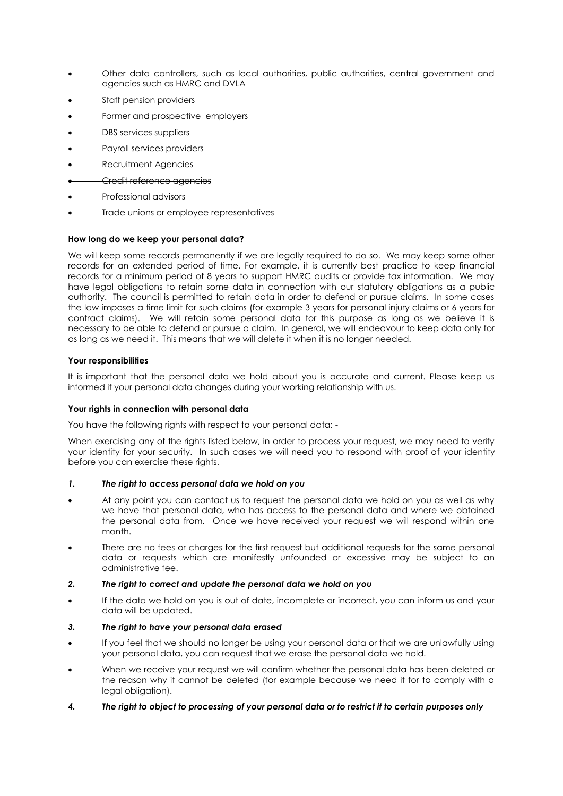- Other data controllers, such as local authorities, public authorities, central government and agencies such as HMRC and DVLA
- Staff pension providers
- Former and prospective employers
- DBS services suppliers
- Payroll services providers
- Recruitment Agencies
- Credit reference agencies
- Professional advisors
- Trade unions or employee representatives

## **How long do we keep your personal data?**

We will keep some records permanently if we are legally required to do so. We may keep some other records for an extended period of time. For example, it is currently best practice to keep financial records for a minimum period of 8 years to support HMRC audits or provide tax information. We may have legal obligations to retain some data in connection with our statutory obligations as a public authority. The council is permitted to retain data in order to defend or pursue claims. In some cases the law imposes a time limit for such claims (for example 3 years for personal injury claims or 6 years for contract claims). We will retain some personal data for this purpose as long as we believe it is necessary to be able to defend or pursue a claim. In general, we will endeavour to keep data only for as long as we need it. This means that we will delete it when it is no longer needed.

#### **Your responsibilities**

It is important that the personal data we hold about you is accurate and current. Please keep us informed if your personal data changes during your working relationship with us.

#### **Your rights in connection with personal data**

You have the following rights with respect to your personal data: -

When exercising any of the rights listed below, in order to process your request, we may need to verify your identity for your security. In such cases we will need you to respond with proof of your identity before you can exercise these rights.

## *1. The right to access personal data we hold on you*

- At any point you can contact us to request the personal data we hold on you as well as why we have that personal data, who has access to the personal data and where we obtained the personal data from. Once we have received your request we will respond within one month.
- There are no fees or charges for the first request but additional requests for the same personal data or requests which are manifestly unfounded or excessive may be subject to an administrative fee.

## *2. The right to correct and update the personal data we hold on you*

• If the data we hold on you is out of date, incomplete or incorrect, you can inform us and your data will be updated.

## *3. The right to have your personal data erased*

- If you feel that we should no longer be using your personal data or that we are unlawfully using your personal data, you can request that we erase the personal data we hold.
- When we receive your request we will confirm whether the personal data has been deleted or the reason why it cannot be deleted (for example because we need it for to comply with a legal obligation).
- *4. The right to object to processing of your personal data or to restrict it to certain purposes only*